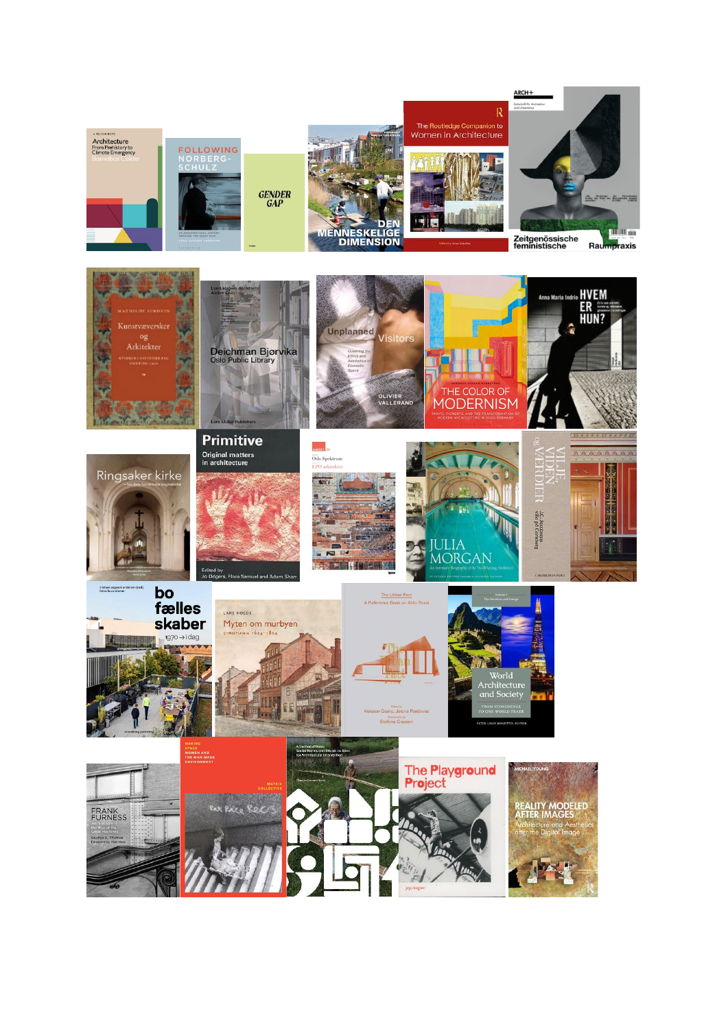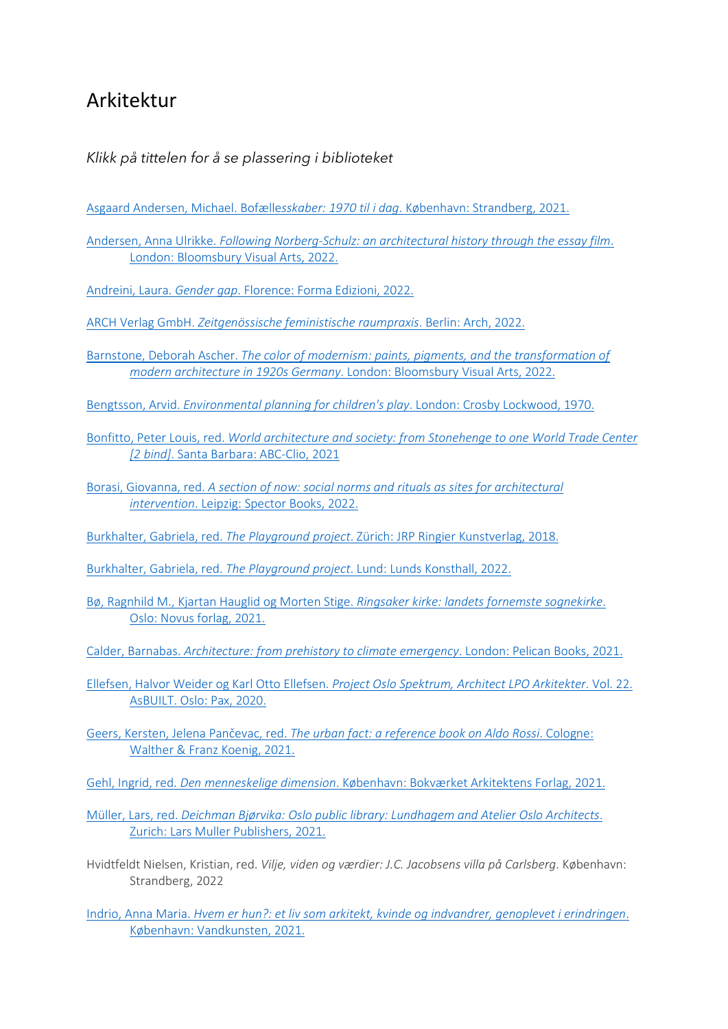## Arkitektur

## *Klikk på tittelen for å se plassering i biblioteket*

- [Asgaard Andersen, Michael. Bofælle](https://bibsys-almaprimo.hosted.exlibrisgroup.com/permalink/f/1n8chvd/BIBSYS_ILS71644333950002201)*sskaber: 1970 til i dag*. København: Strandberg, 2021.
- Andersen, Anna Ulrikke. *Following Norberg-Schulz: an architectural history through the essay film*. London: Bloomsbury Visual Arts, 2022.
- Andreini, Laura. *Gender gap*[. Florence: Forma Edizioni, 2022.](https://bibsys-almaprimo.hosted.exlibrisgroup.com/permalink/f/1n8chvd/BIBSYS_ILS71643568180002201)
- ARCH Verlag GmbH. *[Zeitgenössische feministische raumpraxis](https://bibsys-almaprimo.hosted.exlibrisgroup.com/permalink/f/1n8chvd/BIBSYS_ILS71642810430002201)*. Berlin: Arch, 2022.
- Barnstone, Deborah Ascher. *[The color of modernism: paints, pigments, and the transformation of](https://bibsys-almaprimo.hosted.exlibrisgroup.com/permalink/f/1n8chvd/BIBSYS_ILS71643528200002201)  modern architecture in 1920s Germany*[. London: Bloomsbury Visual Arts, 2022.](https://bibsys-almaprimo.hosted.exlibrisgroup.com/permalink/f/1n8chvd/BIBSYS_ILS71643528200002201)
- Bengtsson, Arvid. *[Environmental planning for children's play](https://bibsys-almaprimo.hosted.exlibrisgroup.com/permalink/f/1n8chvd/BIBSYS_ILS71507305190002201)*. London: Crosby Lockwood, 1970.
- Bonfitto, Peter Louis, red. *[World architecture and society: from Stonehenge to one World Trade Center](https://bibsys-almaprimo.hosted.exlibrisgroup.com/permalink/f/1n8chvd/BIBSYS_ILS71647071360002201)  [2 bind]*[. Santa Barbara: ABC-Clio, 2021](https://bibsys-almaprimo.hosted.exlibrisgroup.com/permalink/f/1n8chvd/BIBSYS_ILS71647071360002201)
- Borasi, Giovanna, red. *[A section of now: social norms and rituals as sites for architectural](https://bibsys-almaprimo.hosted.exlibrisgroup.com/permalink/f/1n8chvd/BIBSYS_ILS71645374070002201)  intervention*[. Leipzig: Spector Books, 2022.](https://bibsys-almaprimo.hosted.exlibrisgroup.com/permalink/f/1n8chvd/BIBSYS_ILS71645374070002201)
- Burkhalter, Gabriela, red. *The Playground project*[. Zürich: JRP Ringier Kunstverlag, 2018.](https://bibsys-almaprimo.hosted.exlibrisgroup.com/permalink/f/17b6085/BIBSYS_ILS71641499790002201)
- Burkhalter, Gabriela, red. *The Playground project*[. Lund: Lunds Konsthall, 2022.](https://bibsys-almaprimo.hosted.exlibrisgroup.com/permalink/f/17b6085/BIBSYS_ILS71643847950002201)
- [Bø, Ragnhild M., Kjartan Hauglid og Morten Stige.](https://bibsys-almaprimo.hosted.exlibrisgroup.com/permalink/f/1n8chvd/BIBSYS_ILS71639505530002201) *Ringsaker kirke: landets fornemste sognekirke*. [Oslo: Novus forlag, 2021.](https://bibsys-almaprimo.hosted.exlibrisgroup.com/permalink/f/1n8chvd/BIBSYS_ILS71639505530002201)
- Calder, Barnabas. *[Architecture: from prehistory to climate emergency](https://bibsys-almaprimo.hosted.exlibrisgroup.com/permalink/f/17b6085/BIBSYS_ILS71617513340002201)*. London: Pelican Books, 2021.
- Ellefsen, Halvor Weider og Karl Otto Ellefsen. *[Project Oslo Spektrum, Architect LPO Arkitekter](https://bibsys-almaprimo.hosted.exlibrisgroup.com/permalink/f/1n8chvd/BIBSYS_ILS71605706860002201)*. Vol. 22. [AsBUILT. Oslo: Pax, 2020.](https://bibsys-almaprimo.hosted.exlibrisgroup.com/permalink/f/1n8chvd/BIBSYS_ILS71605706860002201)
- Geers, Kersten, Jelena Pančevac, red. *[The urban fact: a reference book on Aldo Rossi](https://bibsys-almaprimo.hosted.exlibrisgroup.com/permalink/f/1n8chvd/BIBSYS_ILS71643626650002201)*. Cologne: [Walther & Franz Koenig, 2021.](https://bibsys-almaprimo.hosted.exlibrisgroup.com/permalink/f/1n8chvd/BIBSYS_ILS71643626650002201)
- Gehl, Ingrid, red. *Den menneskelige dimension*[. København: Bokværket Arkitektens Forlag, 2021.](https://bibsys-almaprimo.hosted.exlibrisgroup.com/permalink/f/1n8chvd/BIBSYS_ILS71641530940002201)
- Müller, Lars, red. *[Deichman Bjørvika: Oslo public library: Lundhagem and Atelier Oslo Architects](https://bibsys-almaprimo.hosted.exlibrisgroup.com/permalink/f/1n8chvd/BIBSYS_ILS71633667180002201)*. [Zurich: Lars Muller Publishers, 2021.](https://bibsys-almaprimo.hosted.exlibrisgroup.com/permalink/f/1n8chvd/BIBSYS_ILS71633667180002201)
- Hvidtfeldt Nielsen, Kristian, red. *Vilje, viden og værdier: J.C. Jacobsens villa på Carlsberg*. København: Strandberg, 2022
- Indrio, Anna Maria. *[Hvem er hun?: et liv som arkitekt, kvinde og indvandrer, genoplevet i erindringen](https://bibsys-almaprimo.hosted.exlibrisgroup.com/permalink/f/1n8chvd/BIBSYS_ILS71645081170002201)*. [København: Vandkunsten, 2021.](https://bibsys-almaprimo.hosted.exlibrisgroup.com/permalink/f/1n8chvd/BIBSYS_ILS71645081170002201)